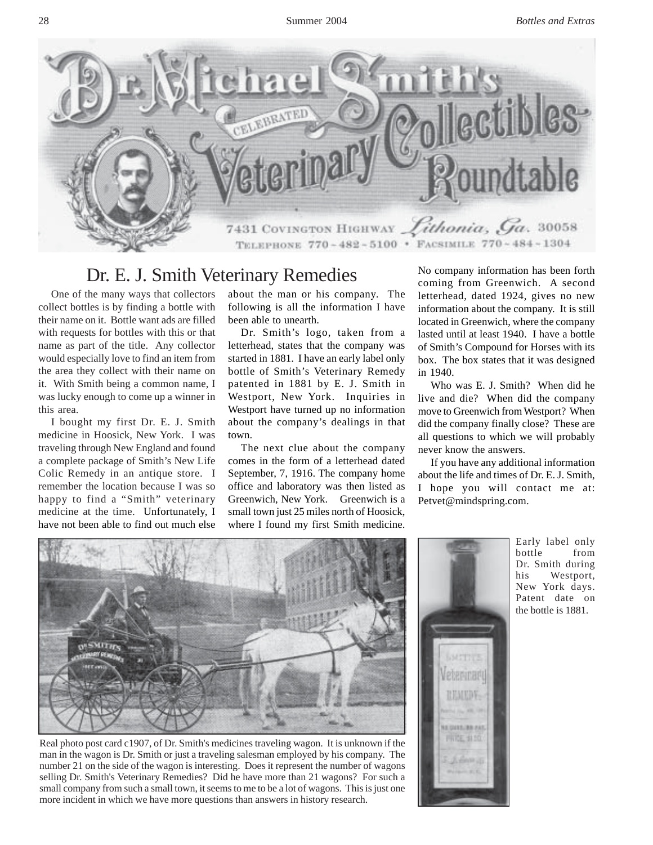

## Dr. E. J. Smith Veterinary Remedies

One of the many ways that collectors collect bottles is by finding a bottle with their name on it. Bottle want ads are filled with requests for bottles with this or that name as part of the title. Any collector would especially love to find an item from the area they collect with their name on it. With Smith being a common name, I was lucky enough to come up a winner in this area.

I bought my first Dr. E. J. Smith medicine in Hoosick, New York. I was traveling through New England and found a complete package of Smith's New Life Colic Remedy in an antique store. I remember the location because I was so happy to find a "Smith" veterinary medicine at the time. Unfortunately, I have not been able to find out much else

about the man or his company. The following is all the information I have been able to unearth.

Dr. Smith's logo, taken from a letterhead, states that the company was started in 1881. I have an early label only bottle of Smith's Veterinary Remedy patented in 1881 by E. J. Smith in Westport, New York. Inquiries in Westport have turned up no information about the company's dealings in that town.

The next clue about the company comes in the form of a letterhead dated September, 7, 1916. The company home office and laboratory was then listed as Greenwich, New York. Greenwich is a small town just 25 miles north of Hoosick, where I found my first Smith medicine.

No company information has been forth coming from Greenwich. A second letterhead, dated 1924, gives no new information about the company. It is still located in Greenwich, where the company lasted until at least 1940. I have a bottle of Smith's Compound for Horses with its box. The box states that it was designed in 1940.

Who was E. J. Smith? When did he live and die? When did the company move to Greenwich from Westport? When did the company finally close? These are all questions to which we will probably never know the answers.

If you have any additional information about the life and times of Dr. E. J. Smith, I hope you will contact me at: Petvet@mindspring.com.



Real photo post card c1907, of Dr. Smith's medicines traveling wagon. It is unknown if the man in the wagon is Dr. Smith or just a traveling salesman employed by his company. The number 21 on the side of the wagon is interesting. Does it represent the number of wagons selling Dr. Smith's Veterinary Remedies? Did he have more than 21 wagons? For such a small company from such a small town, it seems to me to be a lot of wagons. This is just one more incident in which we have more questions than answers in history research.



Early label only bottle from Dr. Smith during his Westport, New York days. Patent date on the bottle is 1881.